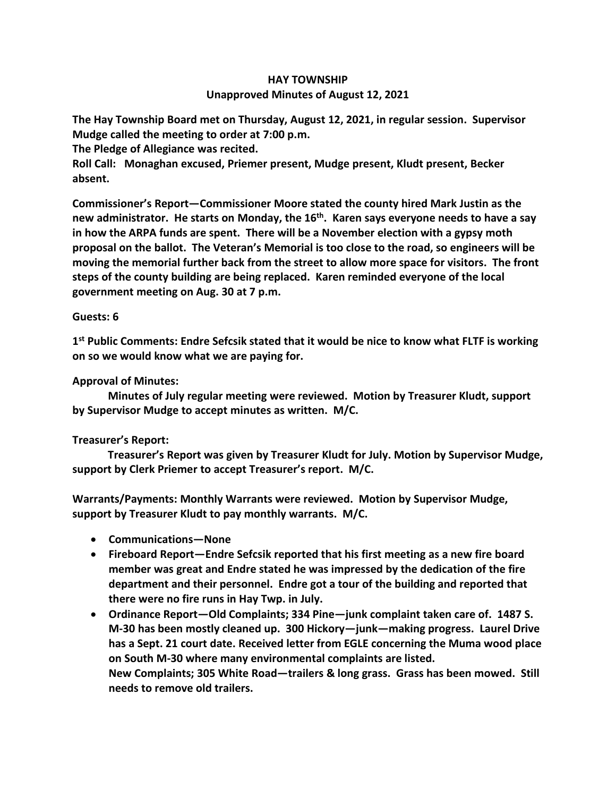## **HAY TOWNSHIP Unapproved Minutes of August 12, 2021**

**The Hay Township Board met on Thursday, August 12, 2021, in regular session. Supervisor Mudge called the meeting to order at 7:00 p.m.** 

**The Pledge of Allegiance was recited.** 

**Roll Call: Monaghan excused, Priemer present, Mudge present, Kludt present, Becker absent.**

**Commissioner's Report—Commissioner Moore stated the county hired Mark Justin as the new administrator. He starts on Monday, the 16th. Karen says everyone needs to have a say in how the ARPA funds are spent. There will be a November election with a gypsy moth proposal on the ballot. The Veteran's Memorial is too close to the road, so engineers will be moving the memorial further back from the street to allow more space for visitors. The front steps of the county building are being replaced. Karen reminded everyone of the local government meeting on Aug. 30 at 7 p.m.**

## **Guests: 6**

**1 st Public Comments: Endre Sefcsik stated that it would be nice to know what FLTF is working on so we would know what we are paying for.**

## **Approval of Minutes:**

 **Minutes of July regular meeting were reviewed. Motion by Treasurer Kludt, support by Supervisor Mudge to accept minutes as written. M/C.**

## **Treasurer's Report:**

 **Treasurer's Report was given by Treasurer Kludt for July. Motion by Supervisor Mudge, support by Clerk Priemer to accept Treasurer's report. M/C.**

**Warrants/Payments: Monthly Warrants were reviewed. Motion by Supervisor Mudge, support by Treasurer Kludt to pay monthly warrants. M/C.**

- **Communications—None**
- **Fireboard Report—Endre Sefcsik reported that his first meeting as a new fire board member was great and Endre stated he was impressed by the dedication of the fire department and their personnel. Endre got a tour of the building and reported that there were no fire runs in Hay Twp. in July.**
- **Ordinance Report—Old Complaints; 334 Pine—junk complaint taken care of. 1487 S. M-30 has been mostly cleaned up. 300 Hickory—junk—making progress. Laurel Drive has a Sept. 21 court date. Received letter from EGLE concerning the Muma wood place on South M-30 where many environmental complaints are listed. New Complaints; 305 White Road—trailers & long grass. Grass has been mowed. Still** 
	- **needs to remove old trailers.**